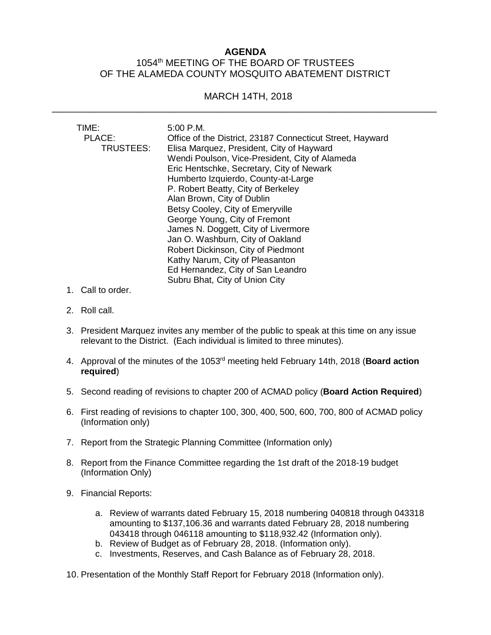## **AGENDA** 1054<sup>th</sup> MEETING OF THE BOARD OF TRUSTEES OF THE ALAMEDA COUNTY MOSQUITO ABATEMENT DISTRICT

## MARCH 14TH, 2018 \_\_\_\_\_\_\_\_\_\_\_\_\_\_\_\_\_\_\_\_\_\_\_\_\_\_\_\_\_\_\_\_\_\_\_\_\_\_\_\_\_\_\_\_\_\_\_\_\_\_\_\_\_\_\_\_\_\_\_\_\_\_\_\_\_\_\_\_\_\_\_\_

| TIME:     | 5:00 P.M.                                                 |
|-----------|-----------------------------------------------------------|
| PLACE:    | Office of the District, 23187 Connecticut Street, Hayward |
| TRUSTEES: | Elisa Marquez, President, City of Hayward                 |
|           | Wendi Poulson, Vice-President, City of Alameda            |
|           | Eric Hentschke, Secretary, City of Newark                 |
|           | Humberto Izquierdo, County-at-Large                       |
|           | P. Robert Beatty, City of Berkeley                        |
|           | Alan Brown, City of Dublin                                |
|           | Betsy Cooley, City of Emeryville                          |
|           | George Young, City of Fremont                             |
|           | James N. Doggett, City of Livermore                       |
|           | Jan O. Washburn, City of Oakland                          |
|           | Robert Dickinson, City of Piedmont                        |
|           | Kathy Narum, City of Pleasanton                           |
|           | Ed Hernandez, City of San Leandro                         |
|           | Subru Bhat, City of Union City                            |

- 1. Call to order.
- 2. Roll call.
- 3. President Marquez invites any member of the public to speak at this time on any issue relevant to the District. (Each individual is limited to three minutes).
- 4. Approval of the minutes of the 1053 rd meeting held February 14th, 2018 (**Board action required**)
- 5. Second reading of revisions to chapter 200 of ACMAD policy (**Board Action Required**)
- 6. First reading of revisions to chapter 100, 300, 400, 500, 600, 700, 800 of ACMAD policy (Information only)
- 7. Report from the Strategic Planning Committee (Information only)
- 8. Report from the Finance Committee regarding the 1st draft of the 2018-19 budget (Information Only)
- 9. Financial Reports:
	- a. Review of warrants dated February 15, 2018 numbering 040818 through 043318 amounting to \$137,106.36 and warrants dated February 28, 2018 numbering 043418 through 046118 amounting to \$118,932.42 (Information only).
	- b. Review of Budget as of February 28, 2018. (Information only).
	- c. Investments, Reserves, and Cash Balance as of February 28, 2018.
- 10. Presentation of the Monthly Staff Report for February 2018 (Information only).